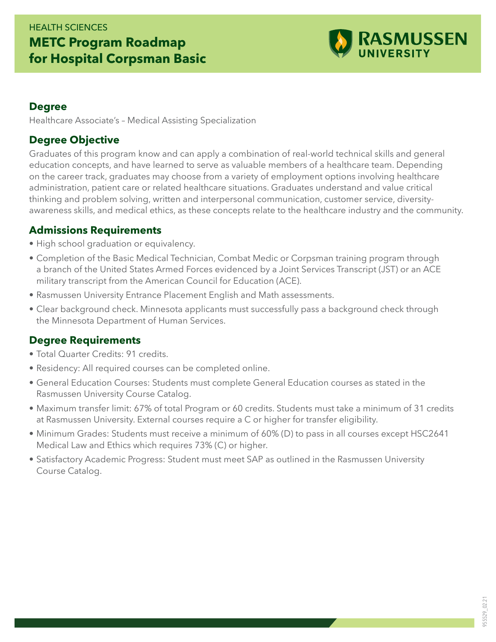## HEALTH SCIENCES **METC Program Roadmap for Hospital Corpsman Basic**



#### **Degree**

Healthcare Associate's – Medical Assisting Specialization

#### **Degree Objective**

Graduates of this program know and can apply a combination of real-world technical skills and general education concepts, and have learned to serve as valuable members of a healthcare team. Depending on the career track, graduates may choose from a variety of employment options involving healthcare administration, patient care or related healthcare situations. Graduates understand and value critical thinking and problem solving, written and interpersonal communication, customer service, diversityawareness skills, and medical ethics, as these concepts relate to the healthcare industry and the community.

#### **Admissions Requirements**

- High school graduation or equivalency.
- Completion of the Basic Medical Technician, Combat Medic or Corpsman training program through a branch of the United States Armed Forces evidenced by a Joint Services Transcript (JST) or an ACE military transcript from the American Council for Education (ACE).
- Rasmussen University Entrance Placement English and Math assessments.
- Clear background check. Minnesota applicants must successfully pass a background check through the Minnesota Department of Human Services.

### **Degree Requirements**

- Total Quarter Credits: 91 credits.
- Residency: All required courses can be completed online.
- General Education Courses: Students must complete General Education courses as stated in the Rasmussen University Course Catalog.
- Maximum transfer limit: 67% of total Program or 60 credits. Students must take a minimum of 31 credits at Rasmussen University. External courses require a C or higher for transfer eligibility.
- Minimum Grades: Students must receive a minimum of 60% (D) to pass in all courses except HSC2641 Medical Law and Ethics which requires 73% (C) or higher.
- Satisfactory Academic Progress: Student must meet SAP as outlined in the Rasmussen University Course Catalog.